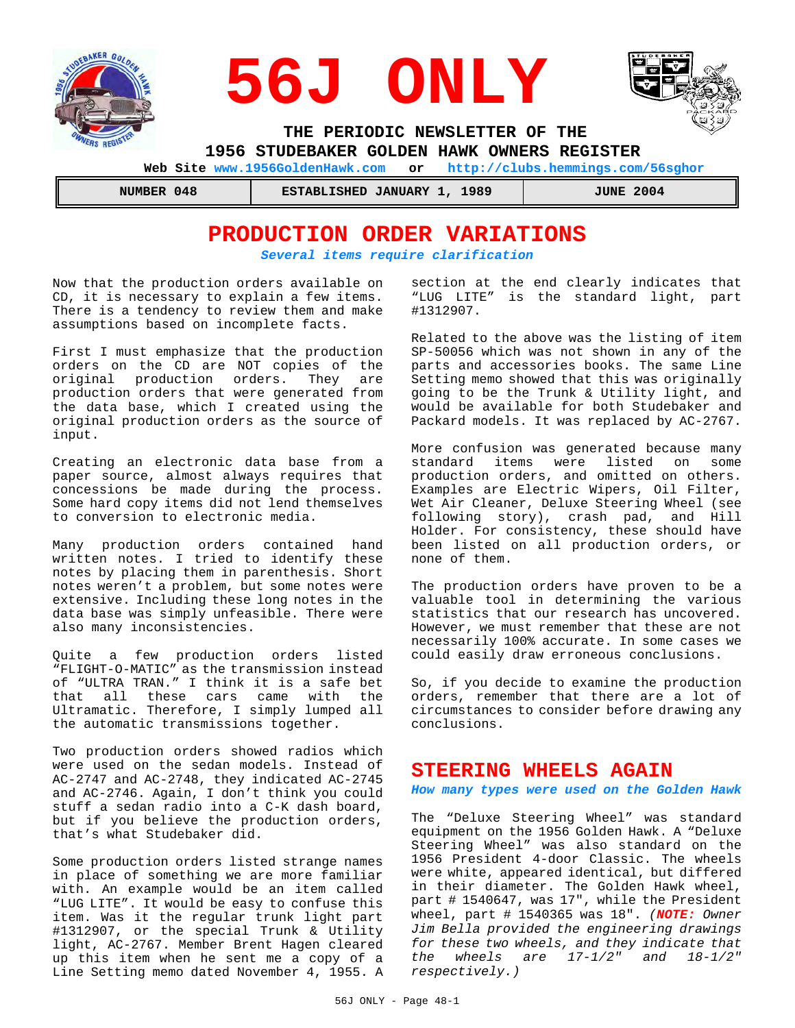





 **THE PERIODIC NEWSLETTER OF THE** 

 **1956 STUDEBAKER GOLDEN HAWK OWNERS REGISTER** 

 **Web Site www.1956GoldenHawk.com or http://clubs.hemmings.com/56sghor**

 **NUMBER 048 ESTABLISHED JANUARY 1, 1989 JUNE 2004**

## **PRODUCTION ORDER VARIATIONS** *Several items require clarification*

Now that the production orders available on CD, it is necessary to explain a few items. There is a tendency to review them and make assumptions based on incomplete facts.

First I must emphasize that the production orders on the CD are NOT copies of the original production orders. They are production orders that were generated from the data base, which I created using the original production orders as the source of input.

Creating an electronic data base from a paper source, almost always requires that concessions be made during the process. Some hard copy items did not lend themselves to conversion to electronic media.

Many production orders contained hand written notes. I tried to identify these notes by placing them in parenthesis. Short notes weren't a problem, but some notes were extensive. Including these long notes in the data base was simply unfeasible. There were also many inconsistencies.

Quite a few production orders listed "FLIGHT-O-MATIC" as the transmission instead of "ULTRA TRAN." I think it is a safe bet that all these cars came with the Ultramatic. Therefore, I simply lumped all the automatic transmissions together.

Two production orders showed radios which were used on the sedan models. Instead of AC-2747 and AC-2748, they indicated AC-2745 and AC-2746. Again, I don't think you could stuff a sedan radio into a C-K dash board, but if you believe the production orders, that's what Studebaker did.

Some production orders listed strange names in place of something we are more familiar with. An example would be an item called "LUG LITE". It would be easy to confuse this item. Was it the regular trunk light part #1312907, or the special Trunk & Utility light, AC-2767. Member Brent Hagen cleared up this item when he sent me a copy of a Line Setting memo dated November 4, 1955. A section at the end clearly indicates that "LUG LITE" is the standard light, part #1312907.

Related to the above was the listing of item SP-50056 which was not shown in any of the parts and accessories books. The same Line Setting memo showed that this was originally going to be the Trunk & Utility light, and would be available for both Studebaker and Packard models. It was replaced by AC-2767.

More confusion was generated because many standard items were listed on some production orders, and omitted on others. Examples are Electric Wipers, Oil Filter, Wet Air Cleaner, Deluxe Steering Wheel (see following story), crash pad, and Hill Holder. For consistency, these should have been listed on all production orders, or none of them.

The production orders have proven to be a valuable tool in determining the various statistics that our research has uncovered. However, we must remember that these are not necessarily 100% accurate. In some cases we could easily draw erroneous conclusions.

So, if you decide to examine the production orders, remember that there are a lot of circumstances to consider before drawing any conclusions.

## **STEERING WHEELS AGAIN**

*How many types were used on the Golden Hawk*

The "Deluxe Steering Wheel" was standard equipment on the 1956 Golden Hawk. A "Deluxe Steering Wheel" was also standard on the 1956 President 4-door Classic. The wheels were white, appeared identical, but differed in their diameter. The Golden Hawk wheel, part # 1540647, was 17", while the President wheel, part # 1540365 was 18". *(NOTE: Owner Jim Bella provided the engineering drawings for these two wheels, and they indicate that the wheels are 17-1/2" and 18-1/2" respectively.)*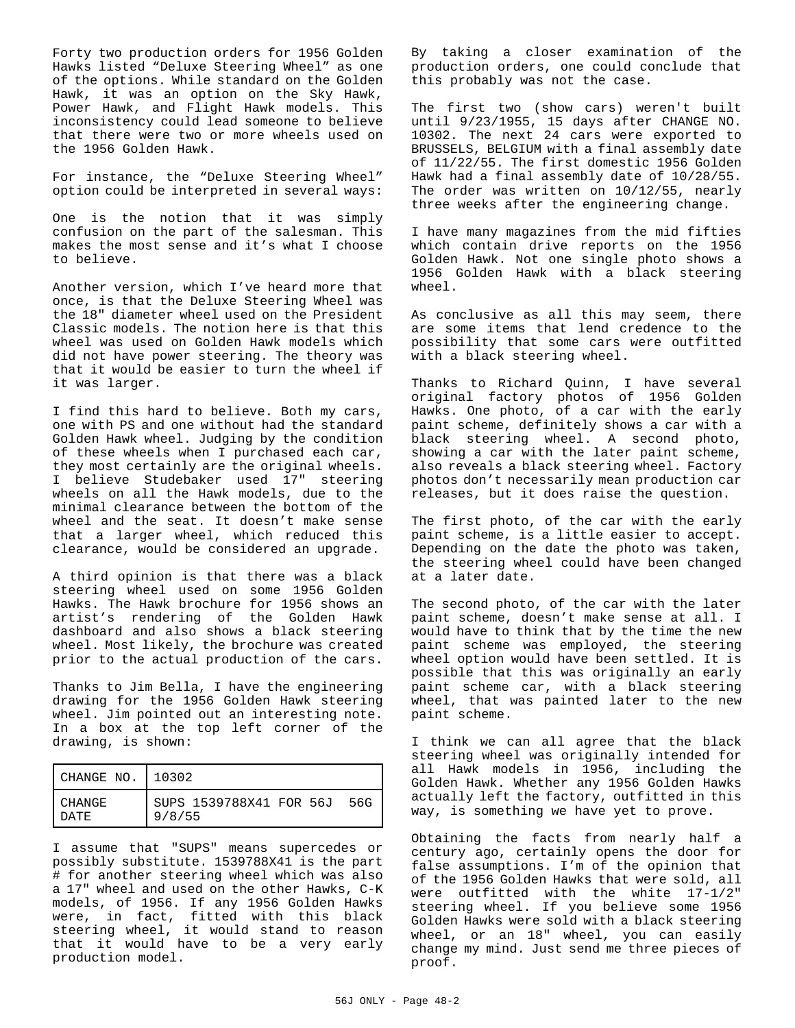Forty two production orders for 1956 Golden Hawks listed "Deluxe Steering Wheel" as one of the options. While standard on the Golden Hawk, it was an option on the Sky Hawk, Power Hawk, and Flight Hawk models. This inconsistency could lead someone to believe that there were two or more wheels used on the 1956 Golden Hawk.

For instance, the "Deluxe Steering Wheel" option could be interpreted in several ways:

One is the notion that it was simply confusion on the part of the salesman. This makes the most sense and it's what I choose to believe.

Another version, which I've heard more that once, is that the Deluxe Steering Wheel was the 18" diameter wheel used on the President Classic models. The notion here is that this wheel was used on Golden Hawk models which did not have power steering. The theory was that it would be easier to turn the wheel if it was larger.

I find this hard to believe. Both my cars, one with PS and one without had the standard Golden Hawk wheel. Judging by the condition of these wheels when I purchased each car, they most certainly are the original wheels. I believe Studebaker used 17" steering wheels on all the Hawk models, due to the minimal clearance between the bottom of the wheel and the seat. It doesn't make sense that a larger wheel, which reduced this clearance, would be considered an upgrade.

A third opinion is that there was a black steering wheel used on some 1956 Golden Hawks. The Hawk brochure for 1956 shows an artist's rendering of the Golden Hawk dashboard and also shows a black steering wheel. Most likely, the brochure was created prior to the actual production of the cars.

Thanks to Jim Bella, I have the engineering drawing for the 1956 Golden Hawk steering wheel. Jim pointed out an interesting note. In a box at the top left corner of the drawing, is shown:

| CHANGE NO.   10302 |                                          |
|--------------------|------------------------------------------|
| CHANGE<br>DATE.    | SUPS 1539788X41 FOR 56J<br>56G<br>9/8/55 |

I assume that "SUPS" means supercedes or possibly substitute. 1539788X41 is the part # for another steering wheel which was also a 17" wheel and used on the other Hawks, C-K models, of 1956. If any 1956 Golden Hawks were, in fact, fitted with this black steering wheel, it would stand to reason that it would have to be a very early production model.

By taking a closer examination of the production orders, one could conclude that this probably was not the case.

The first two (show cars) weren't built until 9/23/1955, 15 days after CHANGE NO. 10302. The next 24 cars were exported to BRUSSELS, BELGIUM with a final assembly date of 11/22/55. The first domestic 1956 Golden Hawk had a final assembly date of 10/28/55. The order was written on 10/12/55, nearly three weeks after the engineering change.

I have many magazines from the mid fifties which contain drive reports on the 1956 Golden Hawk. Not one single photo shows a 1956 Golden Hawk with a black steering wheel.

As conclusive as all this may seem, there are some items that lend credence to the possibility that some cars were outfitted with a black steering wheel.

Thanks to Richard Quinn, I have several original factory photos of 1956 Golden Hawks. One photo, of a car with the early paint scheme, definitely shows a car with a black steering wheel. A second photo, showing a car with the later paint scheme, also reveals a black steering wheel. Factory photos don't necessarily mean production car releases, but it does raise the question.

The first photo, of the car with the early paint scheme, is a little easier to accept. Depending on the date the photo was taken, the steering wheel could have been changed at a later date.

The second photo, of the car with the later paint scheme, doesn't make sense at all. I would have to think that by the time the new paint scheme was employed, the steering wheel option would have been settled. It is possible that this was originally an early paint scheme car, with a black steering wheel, that was painted later to the new paint scheme.

I think we can all agree that the black steering wheel was originally intended for all Hawk models in 1956, including the Golden Hawk. Whether any 1956 Golden Hawks actually left the factory, outfitted in this way, is something we have yet to prove.

Obtaining the facts from nearly half a century ago, certainly opens the door for false assumptions. I'm of the opinion that of the 1956 Golden Hawks that were sold, all were outfitted with the white 17-1/2" steering wheel. If you believe some 1956 Golden Hawks were sold with a black steering wheel, or an 18" wheel, you can easily change my mind. Just send me three pieces of proof.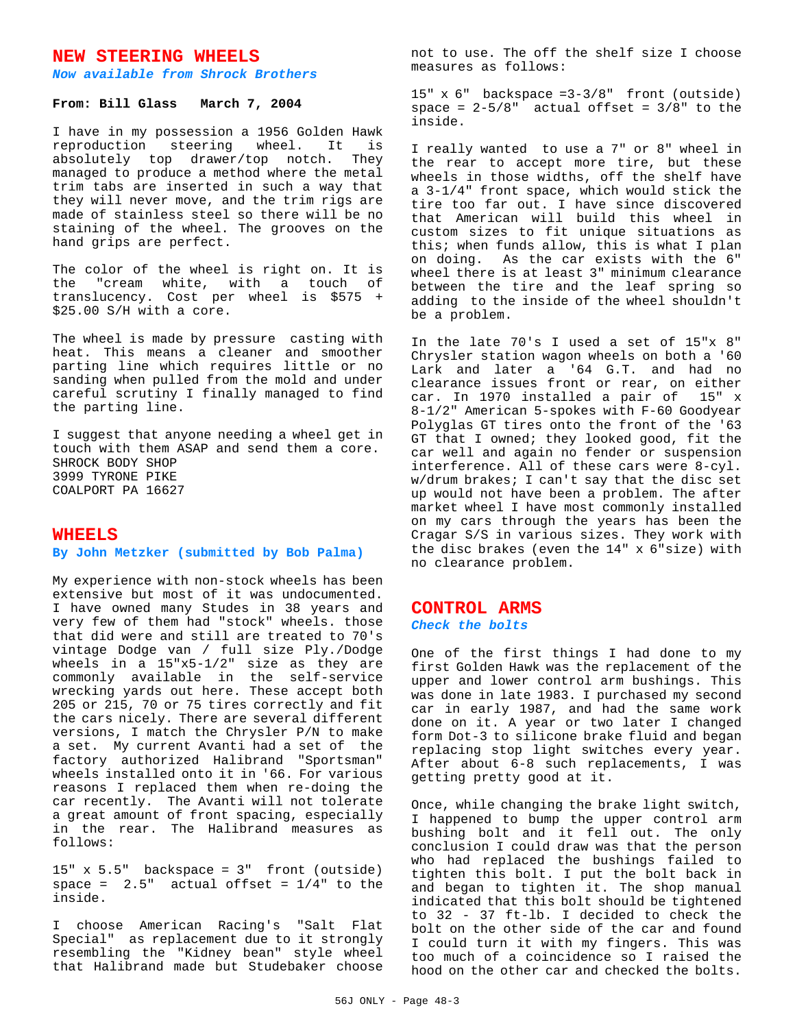## **NEW STEERING WHEELS**

#### *Now available from Shrock Brothers*

### **From: Bill Glass March 7, 2004**

I have in my possession a 1956 Golden Hawk reproduction steering wheel. It is absolutely top drawer/top notch. They managed to produce a method where the metal trim tabs are inserted in such a way that they will never move, and the trim rigs are made of stainless steel so there will be no staining of the wheel. The grooves on the hand grips are perfect.

The color of the wheel is right on. It is the "cream white, with a touch of translucency. Cost per wheel is \$575 + \$25.00 S/H with a core.

The wheel is made by pressure casting with heat. This means a cleaner and smoother parting line which requires little or no sanding when pulled from the mold and under careful scrutiny I finally managed to find the parting line.

I suggest that anyone needing a wheel get in touch with them ASAP and send them a core. SHROCK BODY SHOP 3999 TYRONE PIKE COALPORT PA 16627

### **WHEELS**

#### **By John Metzker (submitted by Bob Palma)**

My experience with non-stock wheels has been extensive but most of it was undocumented. I have owned many Studes in 38 years and very few of them had "stock" wheels. those that did were and still are treated to 70's vintage Dodge van / full size Ply./Dodge wheels in a 15"x5-1/2" size as they are commonly available in the self-service wrecking yards out here. These accept both 205 or 215, 70 or 75 tires correctly and fit the cars nicely. There are several different versions, I match the Chrysler P/N to make a set. My current Avanti had a set of the factory authorized Halibrand "Sportsman" wheels installed onto it in '66. For various reasons I replaced them when re-doing the car recently. The Avanti will not tolerate a great amount of front spacing, especially in the rear. The Halibrand measures as follows:

15" x 5.5" backspace = 3" front (outside) space =  $2.5"$  actual offset =  $1/4"$  to the inside.

I choose American Racing's "Salt Flat Special" as replacement due to it strongly resembling the "Kidney bean" style wheel that Halibrand made but Studebaker choose not to use. The off the shelf size I choose measures as follows:

15" x 6" backspace =3-3/8" front (outside) space =  $2-5/8$ " actual offset =  $3/8$ " to the inside.

I really wanted to use a 7" or 8" wheel in the rear to accept more tire, but these wheels in those widths, off the shelf have a 3-1/4" front space, which would stick the tire too far out. I have since discovered that American will build this wheel in custom sizes to fit unique situations as this; when funds allow, this is what I plan on doing. As the car exists with the 6" wheel there is at least 3" minimum clearance between the tire and the leaf spring so adding to the inside of the wheel shouldn't be a problem.

In the late 70's I used a set of 15"x 8" Chrysler station wagon wheels on both a '60 Lark and later a '64 G.T. and had no clearance issues front or rear, on either car. In 1970 installed a pair of 15" x 8-1/2" American 5-spokes with F-60 Goodyear Polyglas GT tires onto the front of the '63 GT that I owned; they looked good, fit the car well and again no fender or suspension interference. All of these cars were 8-cyl. w/drum brakes; I can't say that the disc set up would not have been a problem. The after market wheel I have most commonly installed on my cars through the years has been the Cragar S/S in various sizes. They work with the disc brakes (even the 14" x 6"size) with no clearance problem.

#### **CONTROL ARMS**

#### *Check the bolts*

One of the first things I had done to my first Golden Hawk was the replacement of the upper and lower control arm bushings. This was done in late 1983. I purchased my second car in early 1987, and had the same work done on it. A year or two later I changed form Dot-3 to silicone brake fluid and began replacing stop light switches every year. After about 6-8 such replacements, I was getting pretty good at it.

Once, while changing the brake light switch, I happened to bump the upper control arm bushing bolt and it fell out. The only conclusion I could draw was that the person who had replaced the bushings failed to tighten this bolt. I put the bolt back in and began to tighten it. The shop manual indicated that this bolt should be tightened to 32 - 37 ft-lb. I decided to check the bolt on the other side of the car and found I could turn it with my fingers. This was too much of a coincidence so I raised the hood on the other car and checked the bolts.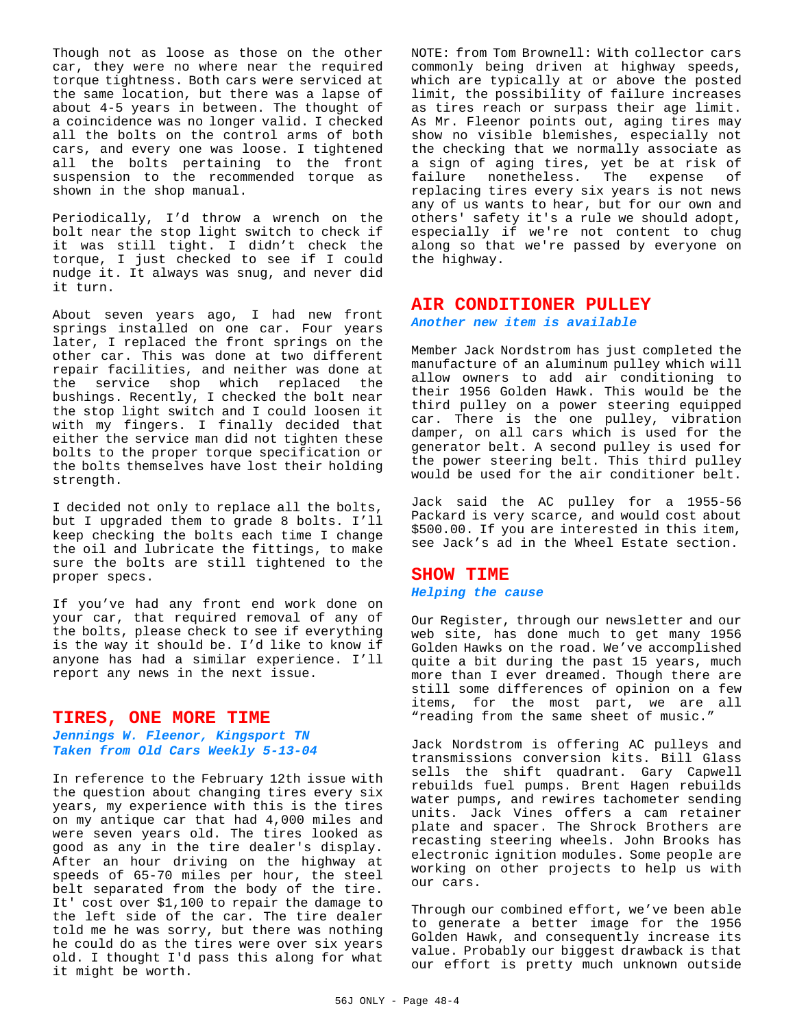Though not as loose as those on the other car, they were no where near the required torque tightness. Both cars were serviced at the same location, but there was a lapse of about 4-5 years in between. The thought of a coincidence was no longer valid. I checked all the bolts on the control arms of both cars, and every one was loose. I tightened all the bolts pertaining to the front suspension to the recommended torque as shown in the shop manual.

Periodically, I'd throw a wrench on the bolt near the stop light switch to check if it was still tight. I didn't check the torque, I just checked to see if I could nudge it. It always was snug, and never did it turn.

About seven years ago, I had new front springs installed on one car. Four years later, I replaced the front springs on the other car. This was done at two different repair facilities, and neither was done at the service shop which replaced the bushings. Recently, I checked the bolt near the stop light switch and I could loosen it with my fingers. I finally decided that either the service man did not tighten these bolts to the proper torque specification or the bolts themselves have lost their holding strength.

I decided not only to replace all the bolts, but I upgraded them to grade 8 bolts. I'll keep checking the bolts each time I change the oil and lubricate the fittings, to make sure the bolts are still tightened to the proper specs.

If you've had any front end work done on your car, that required removal of any of the bolts, please check to see if everything is the way it should be. I'd like to know if anyone has had a similar experience. I'll report any news in the next issue.

## **TIRES, ONE MORE TIME**

## *Jennings W. Fleenor, Kingsport TN Taken from Old Cars Weekly 5-13-04*

In reference to the February 12th issue with the question about changing tires every six years, my experience with this is the tires on my antique car that had 4,000 miles and were seven years old. The tires looked as good as any in the tire dealer's display. After an hour driving on the highway at speeds of 65-70 miles per hour, the steel belt separated from the body of the tire. It' cost over \$1,100 to repair the damage to the left side of the car. The tire dealer told me he was sorry, but there was nothing he could do as the tires were over six years old. I thought I'd pass this along for what it might be worth.

NOTE: from Tom Brownell: With collector cars commonly being driven at highway speeds, which are typically at or above the posted limit, the possibility of failure increases as tires reach or surpass their age limit. As Mr. Fleenor points out, aging tires may show no visible blemishes, especially not the checking that we normally associate as a sign of aging tires, yet be at risk of failure nonetheless. The expense of replacing tires every six years is not news any of us wants to hear, but for our own and others' safety it's a rule we should adopt, especially if we're not content to chug along so that we're passed by everyone on the highway.

### **AIR CONDITIONER PULLEY**

*Another new item is available*

Member Jack Nordstrom has just completed the manufacture of an aluminum pulley which will allow owners to add air conditioning to their 1956 Golden Hawk. This would be the third pulley on a power steering equipped car. There is the one pulley, vibration damper, on all cars which is used for the generator belt. A second pulley is used for the power steering belt. This third pulley would be used for the air conditioner belt.

Jack said the AC pulley for a 1955-56 Packard is very scarce, and would cost about \$500.00. If you are interested in this item, see Jack's ad in the Wheel Estate section.

### **SHOW TIME**

#### *Helping the cause*

Our Register, through our newsletter and our web site, has done much to get many 1956 Golden Hawks on the road. We've accomplished quite a bit during the past 15 years, much more than I ever dreamed. Though there are still some differences of opinion on a few items, for the most part, we are all "reading from the same sheet of music."

Jack Nordstrom is offering AC pulleys and transmissions conversion kits. Bill Glass sells the shift quadrant. Gary Capwell rebuilds fuel pumps. Brent Hagen rebuilds water pumps, and rewires tachometer sending units. Jack Vines offers a cam retainer plate and spacer. The Shrock Brothers are recasting steering wheels. John Brooks has electronic ignition modules. Some people are working on other projects to help us with our cars.

Through our combined effort, we've been able to generate a better image for the 1956 Golden Hawk, and consequently increase its value. Probably our biggest drawback is that our effort is pretty much unknown outside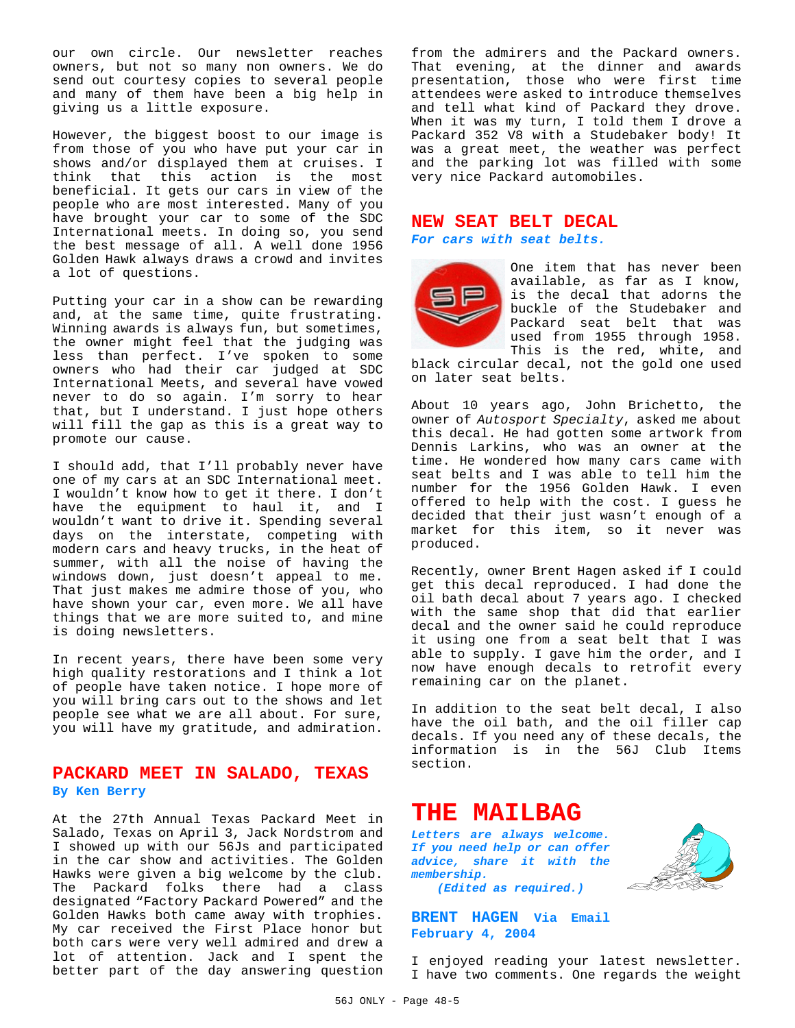our own circle. Our newsletter reaches owners, but not so many non owners. We do send out courtesy copies to several people and many of them have been a big help in giving us a little exposure.

However, the biggest boost to our image is from those of you who have put your car in shows and/or displayed them at cruises. I think that this action is the most beneficial. It gets our cars in view of the people who are most interested. Many of you have brought your car to some of the SDC International meets. In doing so, you send the best message of all. A well done 1956 Golden Hawk always draws a crowd and invites a lot of questions.

Putting your car in a show can be rewarding and, at the same time, quite frustrating. Winning awards is always fun, but sometimes, the owner might feel that the judging was less than perfect. I've spoken to some owners who had their car judged at SDC International Meets, and several have vowed never to do so again. I'm sorry to hear that, but I understand. I just hope others will fill the gap as this is a great way to promote our cause.

I should add, that I'll probably never have one of my cars at an SDC International meet. I wouldn't know how to get it there. I don't have the equipment to haul it, and I wouldn't want to drive it. Spending several days on the interstate, competing with modern cars and heavy trucks, in the heat of summer, with all the noise of having the windows down, just doesn't appeal to me. That just makes me admire those of you, who have shown your car, even more. We all have things that we are more suited to, and mine is doing newsletters.

In recent years, there have been some very high quality restorations and I think a lot of people have taken notice. I hope more of you will bring cars out to the shows and let people see what we are all about. For sure, you will have my gratitude, and admiration.

## **PACKARD MEET IN SALADO, TEXAS By Ken Berry**

At the 27th Annual Texas Packard Meet in Salado, Texas on April 3, Jack Nordstrom and I showed up with our 56Js and participated in the car show and activities. The Golden Hawks were given a big welcome by the club. The Packard folks there had a class designated "Factory Packard Powered" and the Golden Hawks both came away with trophies. My car received the First Place honor but both cars were very well admired and drew a lot of attention. Jack and I spent the better part of the day answering question from the admirers and the Packard owners. That evening, at the dinner and awards presentation, those who were first time attendees were asked to introduce themselves and tell what kind of Packard they drove. When it was my turn, I told them I drove a Packard 352 V8 with a Studebaker body! It was a great meet, the weather was perfect and the parking lot was filled with some very nice Packard automobiles.

## **NEW SEAT BELT DECAL** *For cars with seat belts.*



One item that has never been available, as far as I know, is the decal that adorns the buckle of the Studebaker and Packard seat belt that was used from 1955 through 1958. This is the red, white, and

black circular decal, not the gold one used on later seat belts.

About 10 years ago, John Brichetto, the owner of *Autosport Specialty*, asked me about this decal. He had gotten some artwork from Dennis Larkins, who was an owner at the time. He wondered how many cars came with seat belts and I was able to tell him the number for the 1956 Golden Hawk. I even offered to help with the cost. I guess he decided that their just wasn't enough of a market for this item, so it never was produced.

Recently, owner Brent Hagen asked if I could get this decal reproduced. I had done the oil bath decal about 7 years ago. I checked with the same shop that did that earlier decal and the owner said he could reproduce it using one from a seat belt that I was able to supply. I gave him the order, and I now have enough decals to retrofit every remaining car on the planet.

In addition to the seat belt decal, I also have the oil bath, and the oil filler cap decals. If you need any of these decals, the information is in the 56J Club Items section.

## **THE MAILBAG**

*Letters are always welcome. If you need help or can offer advice, share it with the membership.*



*(Edited as required.)*

**BRENT HAGEN Via Email February 4, 2004**

I enjoyed reading your latest newsletter. I have two comments. One regards the weight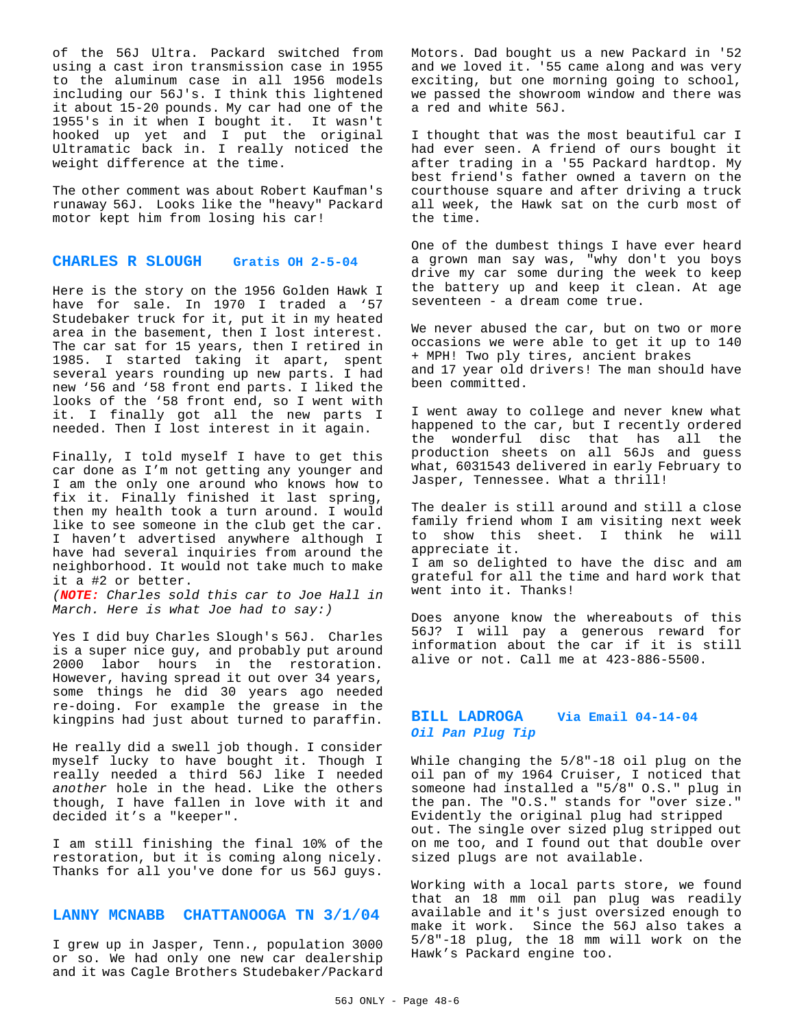of the 56J Ultra. Packard switched from using a cast iron transmission case in 1955 to the aluminum case in all 1956 models including our 56J's. I think this lightened it about 15-20 pounds. My car had one of the 1955's in it when I bought it. It wasn't hooked up yet and I put the original Ultramatic back in. I really noticed the weight difference at the time.

The other comment was about Robert Kaufman's runaway 56J. Looks like the "heavy" Packard motor kept him from losing his car!

#### **CHARLES R SLOUGH Gratis OH 2-5-04**

Here is the story on the 1956 Golden Hawk I have for sale. In 1970 I traded a '57 Studebaker truck for it, put it in my heated area in the basement, then I lost interest. The car sat for 15 years, then I retired in 1985. I started taking it apart, spent several years rounding up new parts. I had new '56 and '58 front end parts. I liked the looks of the '58 front end, so I went with it. I finally got all the new parts I needed. Then I lost interest in it again.

Finally, I told myself I have to get this car done as I'm not getting any younger and I am the only one around who knows how to fix it. Finally finished it last spring, then my health took a turn around. I would like to see someone in the club get the car. I haven't advertised anywhere although I have had several inquiries from around the neighborhood. It would not take much to make it a #2 or better.

*(NOTE: Charles sold this car to Joe Hall in March. Here is what Joe had to say:)*

Yes I did buy Charles Slough's 56J. Charles is a super nice guy, and probably put around 2000 labor hours in the restoration. However, having spread it out over 34 years, some things he did 30 years ago needed re-doing. For example the grease in the kingpins had just about turned to paraffin.

He really did a swell job though. I consider myself lucky to have bought it. Though I really needed a third 56J like I needed *another* hole in the head. Like the others though, I have fallen in love with it and decided it's a "keeper".

I am still finishing the final 10% of the restoration, but it is coming along nicely. Thanks for all you've done for us 56J guys.

#### **LANNY MCNABB CHATTANOOGA TN 3/1/04**

I grew up in Jasper, Tenn., population 3000 or so. We had only one new car dealership and it was Cagle Brothers Studebaker/Packard Motors. Dad bought us a new Packard in '52 and we loved it. '55 came along and was very exciting, but one morning going to school, we passed the showroom window and there was a red and white 56J.

I thought that was the most beautiful car I had ever seen. A friend of ours bought it after trading in a '55 Packard hardtop. My best friend's father owned a tavern on the courthouse square and after driving a truck all week, the Hawk sat on the curb most of the time.

One of the dumbest things I have ever heard a grown man say was, "why don't you boys drive my car some during the week to keep the battery up and keep it clean. At age seventeen - a dream come true.

We never abused the car, but on two or more occasions we were able to get it up to 140 + MPH! Two ply tires, ancient brakes and 17 year old drivers! The man should have been committed.

I went away to college and never knew what happened to the car, but I recently ordered the wonderful disc that has all the production sheets on all 56Js and guess what, 6031543 delivered in early February to Jasper, Tennessee. What a thrill!

The dealer is still around and still a close family friend whom I am visiting next week to show this sheet. I think he will appreciate it.

I am so delighted to have the disc and am grateful for all the time and hard work that went into it. Thanks!

Does anyone know the whereabouts of this 56J? I will pay a generous reward for information about the car if it is still alive or not. Call me at 423-886-5500.

### **BILL LADROGA Via Email 04-14-04** *Oil Pan Plug Tip*

While changing the 5/8"-18 oil plug on the oil pan of my 1964 Cruiser, I noticed that someone had installed a "5/8" O.S." plug in the pan. The "O.S." stands for "over size." Evidently the original plug had stripped out. The single over sized plug stripped out on me too, and I found out that double over sized plugs are not available.

Working with a local parts store, we found that an 18 mm oil pan plug was readily available and it's just oversized enough to make it work. Since the 56J also takes a 5/8"-18 plug, the 18 mm will work on the Hawk's Packard engine too.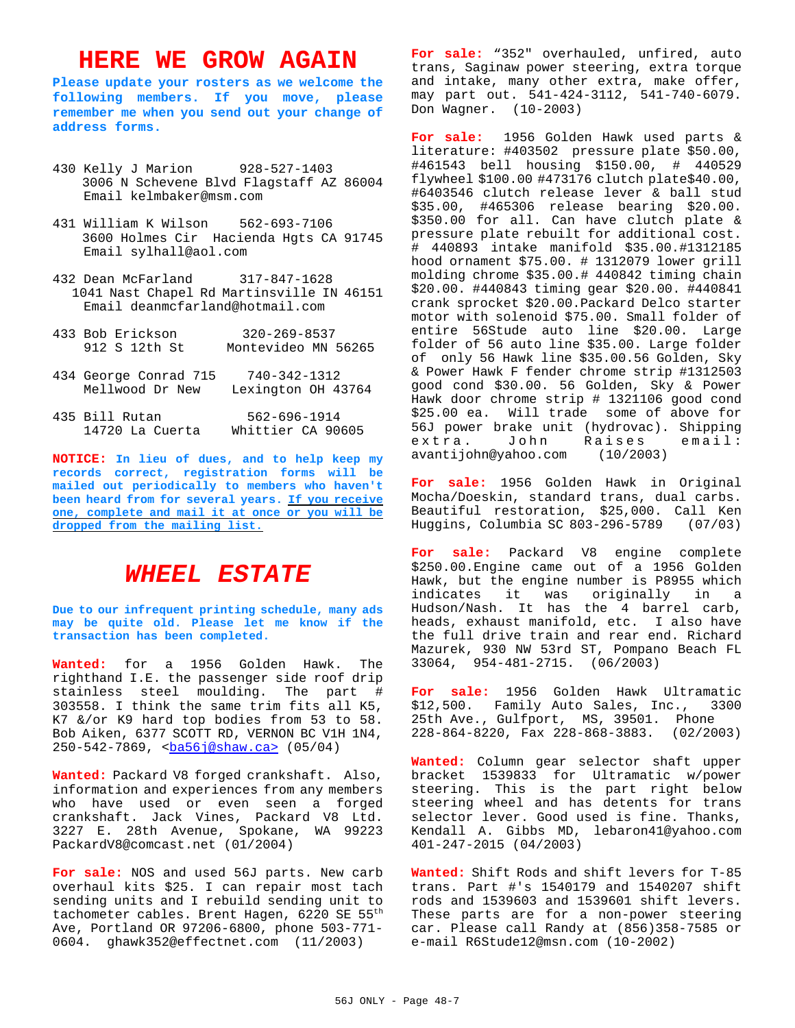# **HERE WE GROW AGAIN**

**Please update your rosters as we welcome the following members. If you move, please remember me when you send out your change of address forms.**

- 430 Kelly J Marion 928-527-1403 3006 N Schevene Blvd Flagstaff AZ 86004 Email kelmbaker@msm.com
- 431 William K Wilson 562-693-7106 3600 Holmes Cir Hacienda Hgts CA 91745 Email sylhall@aol.com
- 432 Dean McFarland 317-847-1628 1041 Nast Chapel Rd Martinsville IN 46151 Email deanmcfarland@hotmail.com

| 433 Bob Erickson<br>912 S 12th St        | $320 - 269 - 8537$<br>Montevideo MN 56265 |
|------------------------------------------|-------------------------------------------|
| 434 George Conrad 715<br>Mellwood Dr New | $740 - 342 - 1312$<br>Lexington OH 43764  |
| 435 Bill Rutan<br>14720 La Cuerta        | $562 - 696 - 1914$<br>Whittier CA 90605   |

**NOTICE: In lieu of dues, and to help keep my records correct, registration forms will be mailed out periodically to members who haven't been heard from for several years. If you receive one, complete and mail it at once or you will be dropped from the mailing list.**

## *WHEEL ESTATE*

**Due to our infrequent printing schedule, many ads may be quite old. Please let me know if the transaction has been completed.**

**Wanted:** for a 1956 Golden Hawk. The righthand I.E. the passenger side roof drip stainless steel moulding. The part # 303558. I think the same trim fits all K5, K7 &/or K9 hard top bodies from 53 to 58. Bob Aiken, 6377 SCOTT RD, VERNON BC V1H 1N4, 250-542-7869, <br />
ca> (05/04)<br />
ca>

**Wanted:** Packard V8 forged crankshaft. Also, information and experiences from any members who have used or even seen a forged crankshaft. Jack Vines, Packard V8 Ltd. 3227 E. 28th Avenue, Spokane, WA 99223 PackardV8@comcast.net (01/2004)

**For sale:** NOS and used 56J parts. New carb overhaul kits \$25. I can repair most tach sending units and I rebuild sending unit to tachometer cables. Brent Hagen, 6220 SE 55th Ave, Portland OR 97206-6800, phone 503-771- 0604. ghawk352@effectnet.com (11/2003)

For sale: "352" overhauled, unfired, auto trans, Saginaw power steering, extra torque and intake, many other extra, make offer, may part out. 541-424-3112, 541-740-6079. Don Wagner. (10-2003)

**For sale:** 1956 Golden Hawk used parts & literature: #403502 pressure plate \$50.00, #461543 bell housing \$150.00, # 440529 flywheel \$100.00 #473176 clutch plate\$40.00, #6403546 clutch release lever & ball stud \$35.00, #465306 release bearing \$20.00. \$350.00 for all. Can have clutch plate & pressure plate rebuilt for additional cost. # 440893 intake manifold \$35.00.#1312185 hood ornament \$75.00. # 1312079 lower grill molding chrome \$35.00.# 440842 timing chain \$20.00. #440843 timing gear \$20.00. #440841 crank sprocket \$20.00.Packard Delco starter motor with solenoid \$75.00. Small folder of entire 56Stude auto line \$20.00. Large folder of 56 auto line \$35.00. Large folder of only 56 Hawk line \$35.00.56 Golden, Sky & Power Hawk F fender chrome strip #1312503 good cond \$30.00. 56 Golden, Sky & Power Hawk door chrome strip # 1321106 good cond \$25.00 ea. Will trade some of above for 56J power brake unit (hydrovac). Shipping extra. John Raises email: avantijohn@yahoo.com (10/2003)

**For sale:** 1956 Golden Hawk in Original Mocha/Doeskin, standard trans, dual carbs. Beautiful restoration, \$25,000. Call Ken Huggins, Columbia SC 803-296-5789 (07/03)

**For sale:** Packard V8 engine complete \$250.00.Engine came out of a 1956 Golden Hawk, but the engine number is P8955 which indicates it was originally in a Hudson/Nash. It has the 4 barrel carb, heads, exhaust manifold, etc. I also have the full drive train and rear end. Richard Mazurek, 930 NW 53rd ST, Pompano Beach FL 33064, 954-481-2715. (06/2003)

**For sale:** 1956 Golden Hawk Ultramatic \$12,500. Family Auto Sales, Inc., 3300 25th Ave., Gulfport, MS, 39501. Phone 228-864-8220, Fax 228-868-3883. (02/2003)

**Wanted:** Column gear selector shaft upper bracket 1539833 for Ultramatic w/power steering. This is the part right below steering wheel and has detents for trans selector lever. Good used is fine. Thanks, Kendall A. Gibbs MD, lebaron41@yahoo.com 401-247-2015 (04/2003)

**Wanted:** Shift Rods and shift levers for T-85 trans. Part #'s 1540179 and 1540207 shift rods and 1539603 and 1539601 shift levers. These parts are for a non-power steering car. Please call Randy at (856)358-7585 or e-mail R6Stude12@msn.com (10-2002)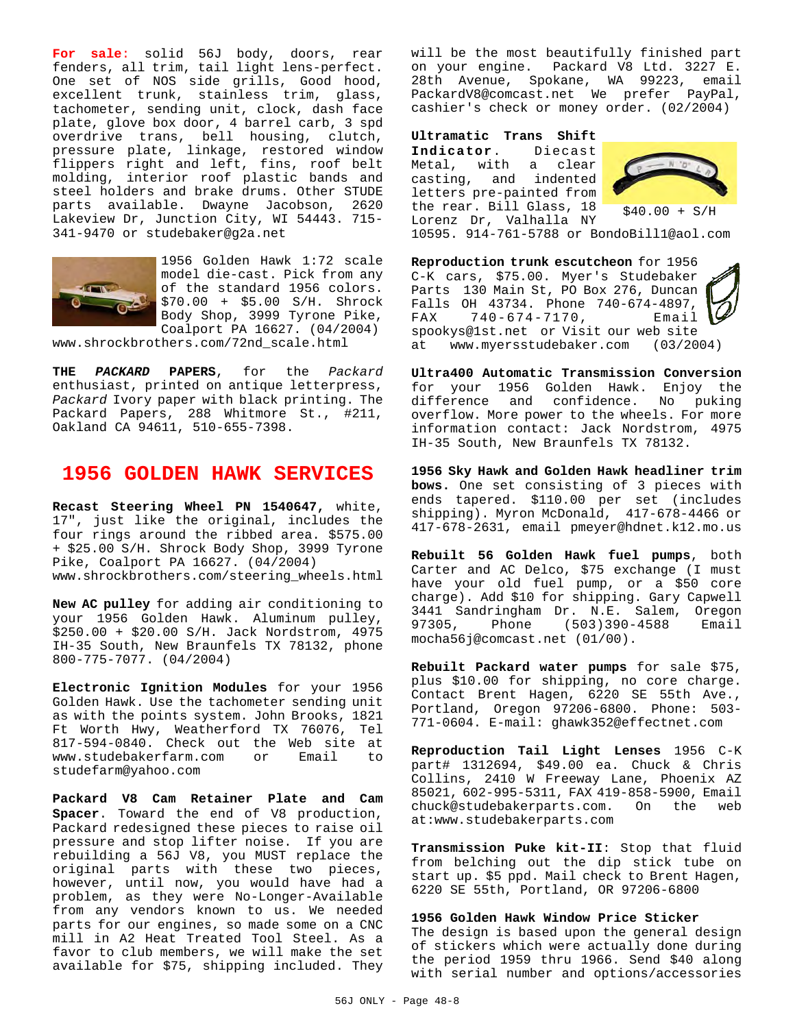**For sale**: solid 56J body, doors, rear fenders, all trim, tail light lens-perfect. One set of NOS side grills, Good hood, excellent trunk, stainless trim, glass, tachometer, sending unit, clock, dash face plate, glove box door, 4 barrel carb, 3 spd overdrive trans, bell housing, clutch, pressure plate, linkage, restored window flippers right and left, fins, roof belt molding, interior roof plastic bands and steel holders and brake drums. Other STUDE parts available. Dwayne Jacobson, 2620 Lakeview Dr, Junction City, WI 54443. 715- 341-9470 or studebaker@g2a.net



1956 Golden Hawk 1:72 scale model die-cast. Pick from any of the standard 1956 colors. \$70.00 + \$5.00 S/H. Shrock Body Shop, 3999 Tyrone Pike, Coalport PA 16627. (04/2004)

www.shrockbrothers.com/72nd\_scale.html

**THE** *PACKARD* **PAPERS**, for the *Packard* enthusiast, printed on antique letterpress, *Packard* Ivory paper with black printing. The Packard Papers, 288 Whitmore St., #211, Oakland CA 94611, 510-655-7398.

## **1956 GOLDEN HAWK SERVICES**

**Recast Steering Wheel PN 1540647,** white, 17", just like the original, includes the four rings around the ribbed area. \$575.00 + \$25.00 S/H. Shrock Body Shop, 3999 Tyrone Pike, Coalport PA 16627. (04/2004) www.shrockbrothers.com/steering\_wheels.html

**New AC pulley** for adding air conditioning to your 1956 Golden Hawk. Aluminum pulley, \$250.00 + \$20.00 S/H. Jack Nordstrom, 4975 IH-35 South, New Braunfels TX 78132, phone 800-775-7077. (04/2004)

**Electronic Ignition Modules** for your 1956 Golden Hawk. Use the tachometer sending unit as with the points system. John Brooks, 1821 Ft Worth Hwy, Weatherford TX 76076, Tel 817-594-0840. Check out the Web site at www.studebakerfarm.com or Email to studefarm@yahoo.com

**Packard V8 Cam Retainer Plate and Cam Spacer**. Toward the end of V8 production, Packard redesigned these pieces to raise oil pressure and stop lifter noise. If you are rebuilding a 56J V8, you MUST replace the original parts with these two pieces, however, until now, you would have had a problem, as they were No-Longer-Available from any vendors known to us. We needed parts for our engines, so made some on a CNC mill in A2 Heat Treated Tool Steel. As a favor to club members, we will make the set available for \$75, shipping included. They will be the most beautifully finished part on your engine. Packard V8 Ltd. 3227 E. 28th Avenue, Spokane, WA 99223, email PackardV8@comcast.net We prefer PayPal, cashier's check or money order. (02/2004)

**Ultramatic Trans Shift Indicator**. Diecast Metal, with a clear casting, and indented letters pre-painted from the rear. Bill Glass, 18 Lorenz Dr, Valhalla NY



\$40.00 + S/H

10595. 914-761-5788 or BondoBill1@aol.com

**Reproduction trunk escutcheon** for 1956 C-K cars, \$75.00. Myer's Studebaker Parts 130 Main St, PO Box 276, Duncan Falls OH 43734. Phone 740-674-4897, FAX 740-674-7170, Email spookys@1st.net or Visit our web site at www.myersstudebaker.com (03/2004)

**Ultra400 Automatic Transmission Conversion** for your 1956 Golden Hawk. Enjoy the difference and confidence. No puking overflow. More power to the wheels. For more information contact: Jack Nordstrom, 4975 IH-35 South, New Braunfels TX 78132.

**1956 Sky Hawk and Golden Hawk headliner trim bows.** One set consisting of 3 pieces with ends tapered. \$110.00 per set (includes shipping). Myron McDonald, 417-678-4466 or 417-678-2631, email pmeyer@hdnet.k12.mo.us

**Rebuilt 56 Golden Hawk fuel pumps**, both Carter and AC Delco, \$75 exchange (I must have your old fuel pump, or a \$50 core charge). Add \$10 for shipping. Gary Capwell 3441 Sandringham Dr. N.E. Salem, Oregon 97305, Phone (503)390-4588 Email mocha56j@comcast.net (01/00).

**Rebuilt Packard water pumps** for sale \$75, plus \$10.00 for shipping, no core charge. Contact Brent Hagen, 6220 SE 55th Ave., Portland, Oregon 97206-6800. Phone: 503- 771-0604. E-mail: ghawk352@effectnet.com

**Reproduction Tail Light Lenses** 1956 C-K part# 1312694, \$49.00 ea. Chuck & Chris Collins, 2410 W Freeway Lane, Phoenix AZ 85021, 602-995-5311, FAX 419-858-5900, Email chuck@studebakerparts.com. On the web at:www.studebakerparts.com

**Transmission Puke kit-II**: Stop that fluid from belching out the dip stick tube on start up. \$5 ppd. Mail check to Brent Hagen, 6220 SE 55th, Portland, OR 97206-6800

#### **1956 Golden Hawk Window Price Sticker**

The design is based upon the general design of stickers which were actually done during the period 1959 thru 1966. Send \$40 along with serial number and options/accessories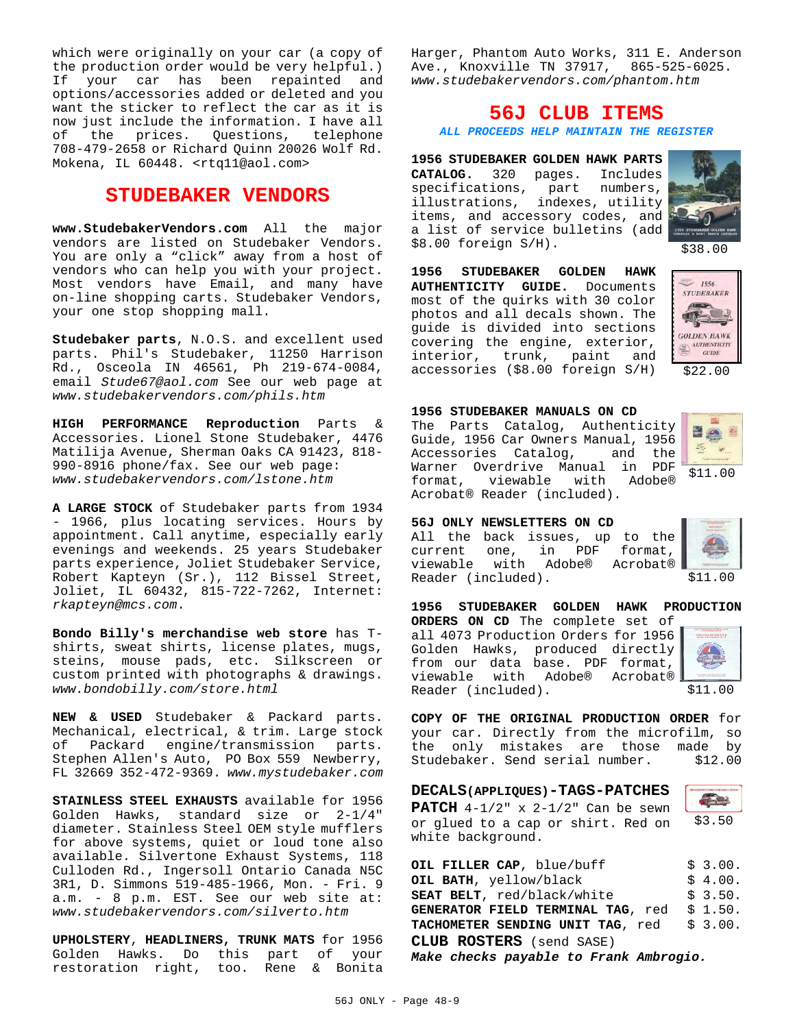which were originally on your car (a copy of the production order would be very helpful.) If your car has been repainted and options/accessories added or deleted and you want the sticker to reflect the car as it is now just include the information. I have all of the prices. Questions, telephone 708-479-2658 or Richard Quinn 20026 Wolf Rd. Mokena, IL 60448. <rtq11@aol.com>

## **STUDEBAKER VENDORS**

**www.StudebakerVendors.com** All the major vendors are listed on Studebaker Vendors. You are only a "click" away from a host of vendors who can help you with your project. Most vendors have Email, and many have on-line shopping carts. Studebaker Vendors, your one stop shopping mall.

**Studebaker parts**, N.O.S. and excellent used parts. Phil's Studebaker, 11250 Harrison Rd., Osceola IN 46561, Ph 219-674-0084, email *Stude67@aol.com* See our web page at *www.studebakervendors.com/phils.htm*

**HIGH PERFORMANCE Reproduction** Parts & Accessories. Lionel Stone Studebaker, 4476 Matilija Avenue, Sherman Oaks CA 91423, 818- 990-8916 phone/fax. See our web page: *www.studebakervendors.com/lstone.htm*

**A LARGE STOCK** of Studebaker parts from 1934 - 1966, plus locating services. Hours by appointment. Call anytime, especially early evenings and weekends. 25 years Studebaker parts experience, Joliet Studebaker Service, Robert Kapteyn (Sr.), 112 Bissel Street, Joliet, IL 60432, 815-722-7262, Internet: *rkapteyn@mcs.com*.

**Bondo Billy's merchandise web store** has Tshirts, sweat shirts, license plates, mugs, steins, mouse pads, etc. Silkscreen or custom printed with photographs & drawings. *www.bondobilly.com/store.html*

**NEW & USED** Studebaker & Packard parts. Mechanical, electrical, & trim. Large stock of Packard engine/transmission parts. Stephen Allen's Auto, PO Box 559 Newberry, FL 32669 352-472-9369. *www.mystudebaker.com*

**STAINLESS STEEL EXHAUSTS** available for 1956 Golden Hawks, standard size or 2-1/4" diameter. Stainless Steel OEM style mufflers for above systems, quiet or loud tone also available. Silvertone Exhaust Systems, 118 Culloden Rd., Ingersoll Ontario Canada N5C 3R1, D. Simmons 519-485-1966, Mon. - Fri. 9 a.m. - 8 p.m. EST. See our web site at: *www.studebakervendors.com/silverto.htm*

**UPHOLSTERY**, **HEADLINERS, TRUNK MATS** for 1956 Golden Hawks. Do this part of your restoration right, too. Rene & Bonita Harger, Phantom Auto Works, 311 E. Anderson Ave., Knoxville TN 37917, 865-525-6025. *www.studebakervendors.com/phantom.htm*

## **56J CLUB ITEMS**

*ALL PROCEEDS HELP MAINTAIN THE REGISTER*

**1956 STUDEBAKER GOLDEN HAWK PARTS CATALOG.** 320 pages. Includes specifications, part numbers, illustrations, indexes, utility items, and accessory codes, and a list of service bulletins (add \$8.00 foreign S/H).



\$38.00

**1956 STUDEBAKER GOLDEN HAWK AUTHENTICITY GUIDE.** Documents most of the quirks with 30 color photos and all decals shown. The guide is divided into sections covering the engine, exterior, interior, trunk, paint and accessories (\$8.00 foreign S/H)



\$22.00

**1956 STUDEBAKER MANUALS ON CD**

The Parts Catalog, Authenticity Guide, 1956 Car Owners Manual, 1956 Accessories Catalog, and the Warner Overdrive Manual in PDF format, viewable with Adobe® Acrobat® Reader (included).



|  | 56J ONLY NEWSLETTERS ON CD     |  |  |  |
|--|--------------------------------|--|--|--|
|  | All the back issues, up to the |  |  |  |
|  | current one, in PDF format,    |  |  |  |
|  | viewable with Adobe® Acrobat®  |  |  |  |
|  | Reader (included).             |  |  |  |



\$11.00

**1956 STUDEBAKER GOLDEN HAWK PRODUCTION ORDERS ON CD** The complete set of

all 4073 Production Orders for 1956 Golden Hawks, produced directly from our data base. PDF format, viewable with Adobe® Acrobat® Reader (included).



\$11.00

 $\overline{0}$ 

**COPY OF THE ORIGINAL PRODUCTION ORDER** for your car. Directly from the microfilm, so the only mistakes are those made by Studebaker. Send serial number. \$12.00

| <b>DECALS (APPLIQUES) - TAGS-PATCHES</b>       |       |  |  |
|------------------------------------------------|-------|--|--|
| <b>PATCH</b> $4-1/2$ " x $2-1/2$ " Can be sewn |       |  |  |
| or glued to a cap or shirt. Red on             | \$3.5 |  |  |
| white background.                              |       |  |  |

| OIL FILLER CAP, blue/buff                  | \$3.00. |
|--------------------------------------------|---------|
| OIL BATH, yellow/black                     | \$4.00. |
| <b>SEAT BELT</b> , red/black/white         | \$3.50. |
| GENERATOR FIELD TERMINAL TAG, red \$ 1.50. |         |
| TACHOMETER SENDING UNIT TAG, red           | \$3.00. |
| <b>CLUB ROSTERS</b> (send SASE)            |         |

*Make checks payable to Frank Ambrogio.*